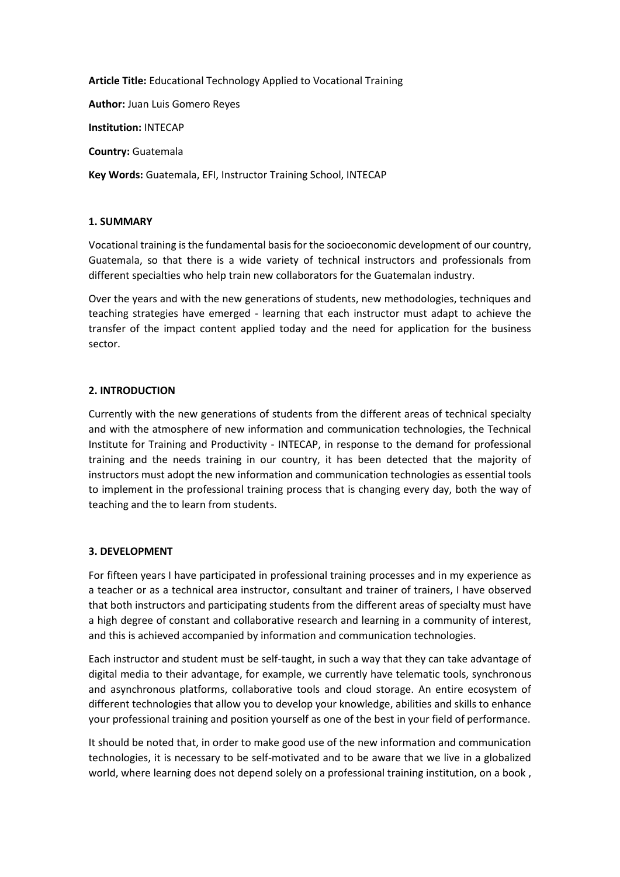**Article Title:** Educational Technology Applied to Vocational Training

**Author:** Juan Luis Gomero Reyes

**Institution:** INTECAP

**Country:** Guatemala

**Key Words:** Guatemala, EFI, Instructor Training School, INTECAP

## **1. SUMMARY**

Vocational training is the fundamental basis for the socioeconomic development of our country, Guatemala, so that there is a wide variety of technical instructors and professionals from different specialties who help train new collaborators for the Guatemalan industry.

Over the years and with the new generations of students, new methodologies, techniques and teaching strategies have emerged - learning that each instructor must adapt to achieve the transfer of the impact content applied today and the need for application for the business sector.

# **2. INTRODUCTION**

Currently with the new generations of students from the different areas of technical specialty and with the atmosphere of new information and communication technologies, the Technical Institute for Training and Productivity - INTECAP, in response to the demand for professional training and the needs training in our country, it has been detected that the majority of instructors must adopt the new information and communication technologies as essential tools to implement in the professional training process that is changing every day, both the way of teaching and the to learn from students.

## **3. DEVELOPMENT**

For fifteen years I have participated in professional training processes and in my experience as a teacher or as a technical area instructor, consultant and trainer of trainers, I have observed that both instructors and participating students from the different areas of specialty must have a high degree of constant and collaborative research and learning in a community of interest, and this is achieved accompanied by information and communication technologies.

Each instructor and student must be self-taught, in such a way that they can take advantage of digital media to their advantage, for example, we currently have telematic tools, synchronous and asynchronous platforms, collaborative tools and cloud storage. An entire ecosystem of different technologies that allow you to develop your knowledge, abilities and skills to enhance your professional training and position yourself as one of the best in your field of performance.

It should be noted that, in order to make good use of the new information and communication technologies, it is necessary to be self-motivated and to be aware that we live in a globalized world, where learning does not depend solely on a professional training institution, on a book,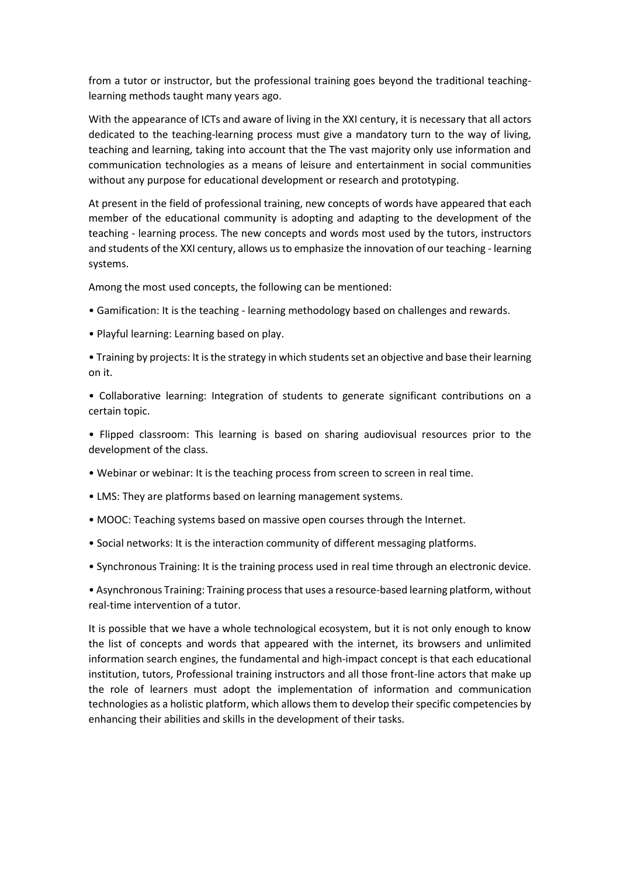from a tutor or instructor, but the professional training goes beyond the traditional teachinglearning methods taught many years ago.

With the appearance of ICTs and aware of living in the XXI century, it is necessary that all actors dedicated to the teaching-learning process must give a mandatory turn to the way of living, teaching and learning, taking into account that the The vast majority only use information and communication technologies as a means of leisure and entertainment in social communities without any purpose for educational development or research and prototyping.

At present in the field of professional training, new concepts of words have appeared that each member of the educational community is adopting and adapting to the development of the teaching - learning process. The new concepts and words most used by the tutors, instructors and students of the XXI century, allows us to emphasize the innovation of our teaching - learning systems.

Among the most used concepts, the following can be mentioned:

- Gamification: It is the teaching learning methodology based on challenges and rewards.
- Playful learning: Learning based on play.

• Training by projects: It is the strategy in which students set an objective and base their learning on it.

• Collaborative learning: Integration of students to generate significant contributions on a certain topic.

• Flipped classroom: This learning is based on sharing audiovisual resources prior to the development of the class.

- Webinar or webinar: It is the teaching process from screen to screen in real time.
- LMS: They are platforms based on learning management systems.
- MOOC: Teaching systems based on massive open courses through the Internet.
- Social networks: It is the interaction community of different messaging platforms.
- Synchronous Training: It is the training process used in real time through an electronic device.

• Asynchronous Training: Training process that uses a resource-based learning platform, without real-time intervention of a tutor.

It is possible that we have a whole technological ecosystem, but it is not only enough to know the list of concepts and words that appeared with the internet, its browsers and unlimited information search engines, the fundamental and high-impact concept is that each educational institution, tutors, Professional training instructors and all those front-line actors that make up the role of learners must adopt the implementation of information and communication technologies as a holistic platform, which allows them to develop their specific competencies by enhancing their abilities and skills in the development of their tasks.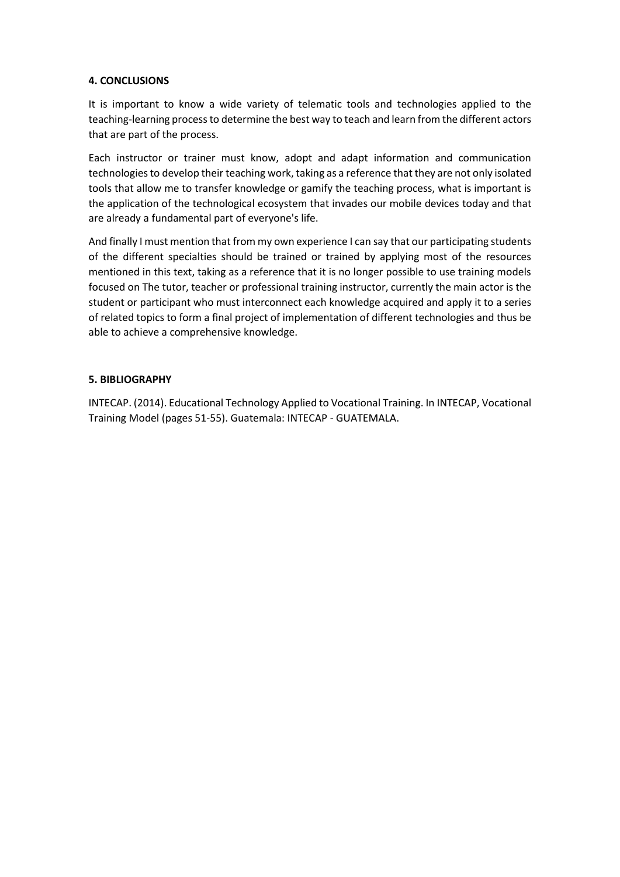# **4. CONCLUSIONS**

It is important to know a wide variety of telematic tools and technologies applied to the teaching-learning process to determine the best way to teach and learn from the different actors that are part of the process.

Each instructor or trainer must know, adopt and adapt information and communication technologies to develop their teaching work, taking as a reference that they are not only isolated tools that allow me to transfer knowledge or gamify the teaching process, what is important is the application of the technological ecosystem that invades our mobile devices today and that are already a fundamental part of everyone's life.

And finally I must mention that from my own experience I can say that our participating students of the different specialties should be trained or trained by applying most of the resources mentioned in this text, taking as a reference that it is no longer possible to use training models focused on The tutor, teacher or professional training instructor, currently the main actor is the student or participant who must interconnect each knowledge acquired and apply it to a series of related topics to form a final project of implementation of different technologies and thus be able to achieve a comprehensive knowledge.

# **5. BIBLIOGRAPHY**

INTECAP. (2014). Educational Technology Applied to Vocational Training. In INTECAP, Vocational Training Model (pages 51-55). Guatemala: INTECAP - GUATEMALA.